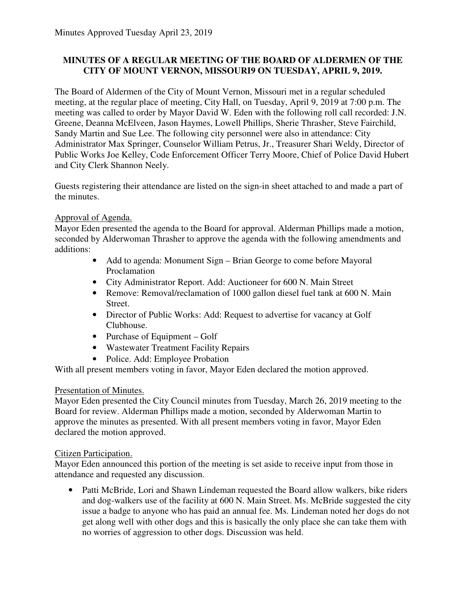## **MINUTES OF A REGULAR MEETING OF THE BOARD OF ALDERMEN OF THE CITY OF MOUNT VERNON, MISSOURI9 ON TUESDAY, APRIL 9, 2019.**

The Board of Aldermen of the City of Mount Vernon, Missouri met in a regular scheduled meeting, at the regular place of meeting, City Hall, on Tuesday, April 9, 2019 at 7:00 p.m. The meeting was called to order by Mayor David W. Eden with the following roll call recorded: J.N. Greene, Deanna McElveen, Jason Haymes, Lowell Phillips, Sherie Thrasher, Steve Fairchild, Sandy Martin and Sue Lee. The following city personnel were also in attendance: City Administrator Max Springer, Counselor William Petrus, Jr., Treasurer Shari Weldy, Director of Public Works Joe Kelley, Code Enforcement Officer Terry Moore, Chief of Police David Hubert and City Clerk Shannon Neely.

Guests registering their attendance are listed on the sign-in sheet attached to and made a part of the minutes.

## Approval of Agenda.

Mayor Eden presented the agenda to the Board for approval. Alderman Phillips made a motion, seconded by Alderwoman Thrasher to approve the agenda with the following amendments and additions:

- Add to agenda: Monument Sign Brian George to come before Mayoral Proclamation
- City Administrator Report. Add: Auctioneer for 600 N. Main Street
- Remove: Removal/reclamation of 1000 gallon diesel fuel tank at 600 N. Main Street.
- Director of Public Works: Add: Request to advertise for vacancy at Golf Clubhouse.
- Purchase of Equipment Golf
- Wastewater Treatment Facility Repairs
- Police. Add: Employee Probation

With all present members voting in favor, Mayor Eden declared the motion approved.

### Presentation of Minutes.

Mayor Eden presented the City Council minutes from Tuesday, March 26, 2019 meeting to the Board for review. Alderman Phillips made a motion, seconded by Alderwoman Martin to approve the minutes as presented. With all present members voting in favor, Mayor Eden declared the motion approved.

### Citizen Participation.

Mayor Eden announced this portion of the meeting is set aside to receive input from those in attendance and requested any discussion.

• Patti McBride, Lori and Shawn Lindeman requested the Board allow walkers, bike riders and dog-walkers use of the facility at 600 N. Main Street. Ms. McBride suggested the city issue a badge to anyone who has paid an annual fee. Ms. Lindeman noted her dogs do not get along well with other dogs and this is basically the only place she can take them with no worries of aggression to other dogs. Discussion was held.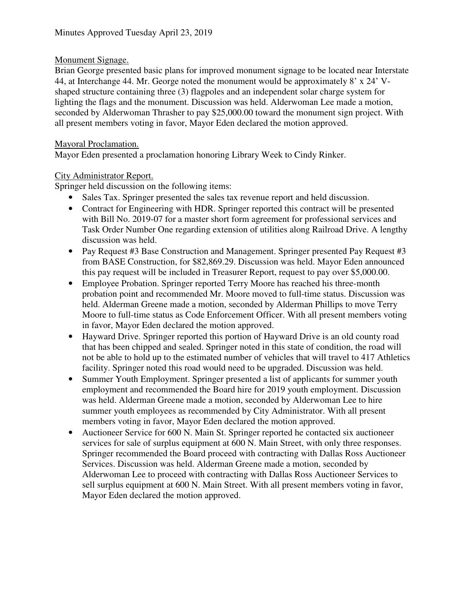## Monument Signage.

Brian George presented basic plans for improved monument signage to be located near Interstate 44, at Interchange 44. Mr. George noted the monument would be approximately 8' x 24' Vshaped structure containing three (3) flagpoles and an independent solar charge system for lighting the flags and the monument. Discussion was held. Alderwoman Lee made a motion, seconded by Alderwoman Thrasher to pay \$25,000.00 toward the monument sign project. With all present members voting in favor, Mayor Eden declared the motion approved.

### Mayoral Proclamation.

Mayor Eden presented a proclamation honoring Library Week to Cindy Rinker.

# City Administrator Report.

Springer held discussion on the following items:

- Sales Tax. Springer presented the sales tax revenue report and held discussion.
- Contract for Engineering with HDR. Springer reported this contract will be presented with Bill No. 2019-07 for a master short form agreement for professional services and Task Order Number One regarding extension of utilities along Railroad Drive. A lengthy discussion was held.
- Pay Request #3 Base Construction and Management. Springer presented Pay Request #3 from BASE Construction, for \$82,869.29. Discussion was held. Mayor Eden announced this pay request will be included in Treasurer Report, request to pay over \$5,000.00.
- Employee Probation. Springer reported Terry Moore has reached his three-month probation point and recommended Mr. Moore moved to full-time status. Discussion was held. Alderman Greene made a motion, seconded by Alderman Phillips to move Terry Moore to full-time status as Code Enforcement Officer. With all present members voting in favor, Mayor Eden declared the motion approved.
- Hayward Drive. Springer reported this portion of Hayward Drive is an old county road that has been chipped and sealed. Springer noted in this state of condition, the road will not be able to hold up to the estimated number of vehicles that will travel to 417 Athletics facility. Springer noted this road would need to be upgraded. Discussion was held.
- Summer Youth Employment. Springer presented a list of applicants for summer youth employment and recommended the Board hire for 2019 youth employment. Discussion was held. Alderman Greene made a motion, seconded by Alderwoman Lee to hire summer youth employees as recommended by City Administrator. With all present members voting in favor, Mayor Eden declared the motion approved.
- Auctioneer Service for 600 N. Main St. Springer reported he contacted six auctioneer services for sale of surplus equipment at 600 N. Main Street, with only three responses. Springer recommended the Board proceed with contracting with Dallas Ross Auctioneer Services. Discussion was held. Alderman Greene made a motion, seconded by Alderwoman Lee to proceed with contracting with Dallas Ross Auctioneer Services to sell surplus equipment at 600 N. Main Street. With all present members voting in favor, Mayor Eden declared the motion approved.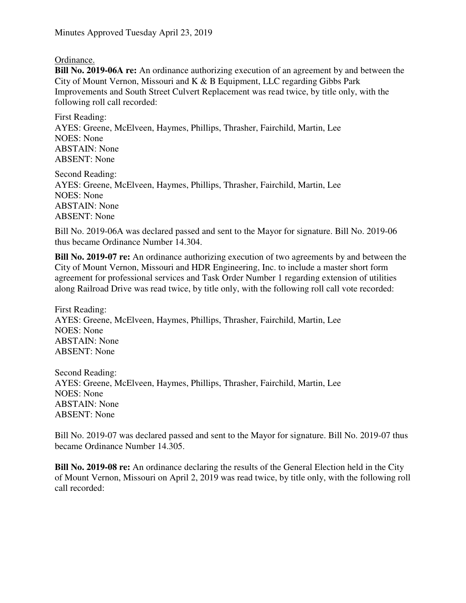Ordinance.

**Bill No. 2019-06A re:** An ordinance authorizing execution of an agreement by and between the City of Mount Vernon, Missouri and K & B Equipment, LLC regarding Gibbs Park Improvements and South Street Culvert Replacement was read twice, by title only, with the following roll call recorded:

First Reading: AYES: Greene, McElveen, Haymes, Phillips, Thrasher, Fairchild, Martin, Lee NOES: None ABSTAIN: None ABSENT: None

Second Reading: AYES: Greene, McElveen, Haymes, Phillips, Thrasher, Fairchild, Martin, Lee NOES: None ABSTAIN: None ABSENT: None

Bill No. 2019-06A was declared passed and sent to the Mayor for signature. Bill No. 2019-06 thus became Ordinance Number 14.304.

**Bill No. 2019-07 re:** An ordinance authorizing execution of two agreements by and between the City of Mount Vernon, Missouri and HDR Engineering, Inc. to include a master short form agreement for professional services and Task Order Number 1 regarding extension of utilities along Railroad Drive was read twice, by title only, with the following roll call vote recorded:

First Reading: AYES: Greene, McElveen, Haymes, Phillips, Thrasher, Fairchild, Martin, Lee NOES: None ABSTAIN: None ABSENT: None

Second Reading: AYES: Greene, McElveen, Haymes, Phillips, Thrasher, Fairchild, Martin, Lee NOES: None ABSTAIN: None ABSENT: None

Bill No. 2019-07 was declared passed and sent to the Mayor for signature. Bill No. 2019-07 thus became Ordinance Number 14.305.

**Bill No. 2019-08 re:** An ordinance declaring the results of the General Election held in the City of Mount Vernon, Missouri on April 2, 2019 was read twice, by title only, with the following roll call recorded: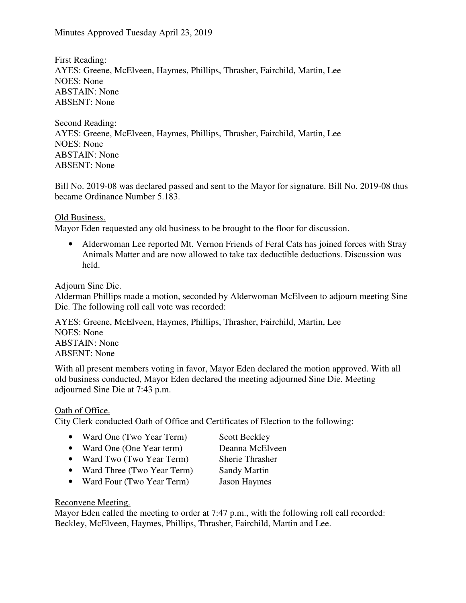First Reading: AYES: Greene, McElveen, Haymes, Phillips, Thrasher, Fairchild, Martin, Lee NOES: None ABSTAIN: None ABSENT: None

Second Reading: AYES: Greene, McElveen, Haymes, Phillips, Thrasher, Fairchild, Martin, Lee NOES: None ABSTAIN: None ABSENT: None

Bill No. 2019-08 was declared passed and sent to the Mayor for signature. Bill No. 2019-08 thus became Ordinance Number 5.183.

### Old Business.

Mayor Eden requested any old business to be brought to the floor for discussion.

• Alderwoman Lee reported Mt. Vernon Friends of Feral Cats has joined forces with Stray Animals Matter and are now allowed to take tax deductible deductions. Discussion was held.

### Adjourn Sine Die.

Alderman Phillips made a motion, seconded by Alderwoman McElveen to adjourn meeting Sine Die. The following roll call vote was recorded:

AYES: Greene, McElveen, Haymes, Phillips, Thrasher, Fairchild, Martin, Lee NOES: None ABSTAIN: None ABSENT: None

With all present members voting in favor, Mayor Eden declared the motion approved. With all old business conducted, Mayor Eden declared the meeting adjourned Sine Die. Meeting adjourned Sine Die at 7:43 p.m.

# Oath of Office.

City Clerk conducted Oath of Office and Certificates of Election to the following:

- Ward One (Two Year Term) Scott Beckley
- Ward One (One Year term) Deanna McElveen
- Ward Two (Two Year Term) Sherie Thrasher
- Ward Three (Two Year Term) Sandy Martin
- Ward Four (Two Year Term) Jason Haymes

### Reconvene Meeting.

Mayor Eden called the meeting to order at 7:47 p.m., with the following roll call recorded: Beckley, McElveen, Haymes, Phillips, Thrasher, Fairchild, Martin and Lee.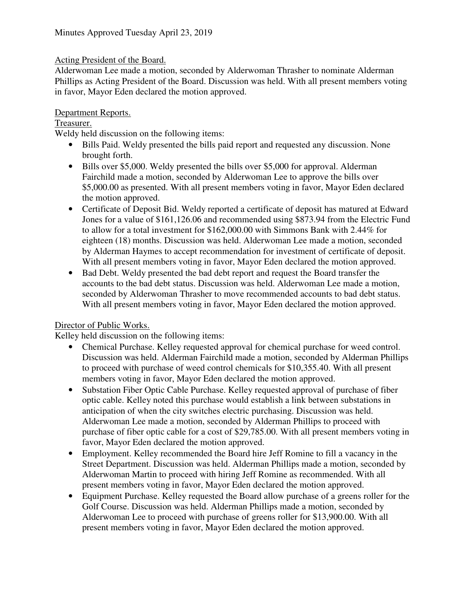Acting President of the Board.

Alderwoman Lee made a motion, seconded by Alderwoman Thrasher to nominate Alderman Phillips as Acting President of the Board. Discussion was held. With all present members voting in favor, Mayor Eden declared the motion approved.

## Department Reports.

## Treasurer.

Weldy held discussion on the following items:

- Bills Paid. Weldy presented the bills paid report and requested any discussion. None brought forth.
- Bills over \$5,000. Weldy presented the bills over \$5,000 for approval. Alderman Fairchild made a motion, seconded by Alderwoman Lee to approve the bills over \$5,000.00 as presented. With all present members voting in favor, Mayor Eden declared the motion approved.
- Certificate of Deposit Bid. Weldy reported a certificate of deposit has matured at Edward Jones for a value of \$161,126.06 and recommended using \$873.94 from the Electric Fund to allow for a total investment for \$162,000.00 with Simmons Bank with 2.44% for eighteen (18) months. Discussion was held. Alderwoman Lee made a motion, seconded by Alderman Haymes to accept recommendation for investment of certificate of deposit. With all present members voting in favor, Mayor Eden declared the motion approved.
- Bad Debt. Weldy presented the bad debt report and request the Board transfer the accounts to the bad debt status. Discussion was held. Alderwoman Lee made a motion, seconded by Alderwoman Thrasher to move recommended accounts to bad debt status. With all present members voting in favor, Mayor Eden declared the motion approved.

### Director of Public Works.

Kelley held discussion on the following items:

- Chemical Purchase. Kelley requested approval for chemical purchase for weed control. Discussion was held. Alderman Fairchild made a motion, seconded by Alderman Phillips to proceed with purchase of weed control chemicals for \$10,355.40. With all present members voting in favor, Mayor Eden declared the motion approved.
- Substation Fiber Optic Cable Purchase. Kelley requested approval of purchase of fiber optic cable. Kelley noted this purchase would establish a link between substations in anticipation of when the city switches electric purchasing. Discussion was held. Alderwoman Lee made a motion, seconded by Alderman Phillips to proceed with purchase of fiber optic cable for a cost of \$29,785.00. With all present members voting in favor, Mayor Eden declared the motion approved.
- Employment. Kelley recommended the Board hire Jeff Romine to fill a vacancy in the Street Department. Discussion was held. Alderman Phillips made a motion, seconded by Alderwoman Martin to proceed with hiring Jeff Romine as recommended. With all present members voting in favor, Mayor Eden declared the motion approved.
- Equipment Purchase. Kelley requested the Board allow purchase of a greens roller for the Golf Course. Discussion was held. Alderman Phillips made a motion, seconded by Alderwoman Lee to proceed with purchase of greens roller for \$13,900.00. With all present members voting in favor, Mayor Eden declared the motion approved.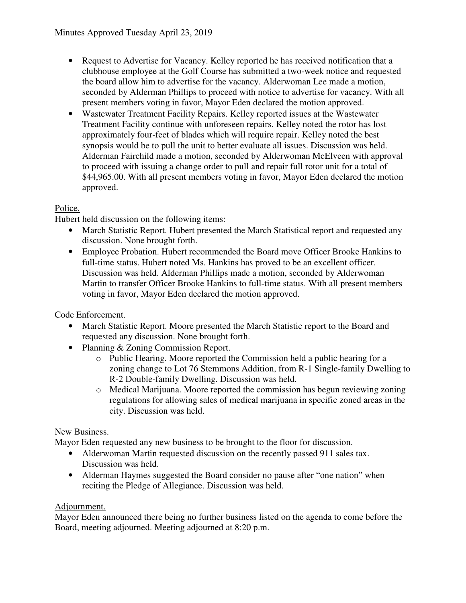- Request to Advertise for Vacancy. Kelley reported he has received notification that a clubhouse employee at the Golf Course has submitted a two-week notice and requested the board allow him to advertise for the vacancy. Alderwoman Lee made a motion, seconded by Alderman Phillips to proceed with notice to advertise for vacancy. With all present members voting in favor, Mayor Eden declared the motion approved.
- Wastewater Treatment Facility Repairs. Kelley reported issues at the Wastewater Treatment Facility continue with unforeseen repairs. Kelley noted the rotor has lost approximately four-feet of blades which will require repair. Kelley noted the best synopsis would be to pull the unit to better evaluate all issues. Discussion was held. Alderman Fairchild made a motion, seconded by Alderwoman McElveen with approval to proceed with issuing a change order to pull and repair full rotor unit for a total of \$44,965.00. With all present members voting in favor, Mayor Eden declared the motion approved.

## Police.

Hubert held discussion on the following items:

- March Statistic Report. Hubert presented the March Statistical report and requested any discussion. None brought forth.
- Employee Probation. Hubert recommended the Board move Officer Brooke Hankins to full-time status. Hubert noted Ms. Hankins has proved to be an excellent officer. Discussion was held. Alderman Phillips made a motion, seconded by Alderwoman Martin to transfer Officer Brooke Hankins to full-time status. With all present members voting in favor, Mayor Eden declared the motion approved.

### Code Enforcement.

- March Statistic Report. Moore presented the March Statistic report to the Board and requested any discussion. None brought forth.
- Planning & Zoning Commission Report.
	- o Public Hearing. Moore reported the Commission held a public hearing for a zoning change to Lot 76 Stemmons Addition, from R-1 Single-family Dwelling to R-2 Double-family Dwelling. Discussion was held.
	- o Medical Marijuana. Moore reported the commission has begun reviewing zoning regulations for allowing sales of medical marijuana in specific zoned areas in the city. Discussion was held.

### New Business.

Mayor Eden requested any new business to be brought to the floor for discussion.

- Alderwoman Martin requested discussion on the recently passed 911 sales tax. Discussion was held.
- Alderman Haymes suggested the Board consider no pause after "one nation" when reciting the Pledge of Allegiance. Discussion was held.

### Adjournment.

Mayor Eden announced there being no further business listed on the agenda to come before the Board, meeting adjourned. Meeting adjourned at 8:20 p.m.